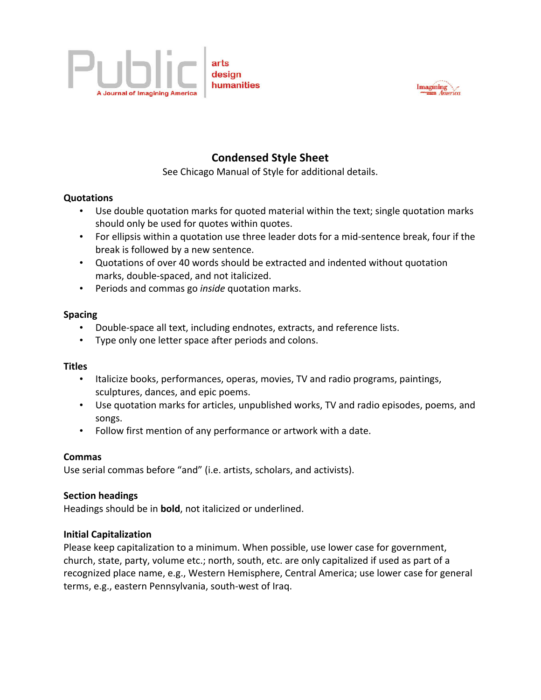



# **Condensed Style Sheet**

See Chicago Manual of Style for additional details.

# **Quotations**

- Use double quotation marks for quoted material within the text; single quotation marks should only be used for quotes within quotes.
- For ellipsis within a quotation use three leader dots for a mid-sentence break, four if the break is followed by a new sentence.
- Quotations of over 40 words should be extracted and indented without quotation marks, double-spaced, and not italicized.
- Periods and commas go *inside* quotation marks.

# **Spacing**

- Double-space all text, including endnotes, extracts, and reference lists.
- Type only one letter space after periods and colons.

# **Titles**

- Italicize books, performances, operas, movies, TV and radio programs, paintings, sculptures, dances, and epic poems.
- Use quotation marks for articles, unpublished works, TV and radio episodes, poems, and songs.
- Follow first mention of any performance or artwork with a date.

# **Commas**

Use serial commas before "and" (i.e. artists, scholars, and activists).

# **Section headings**

Headings should be in **bold**, not italicized or underlined.

# **Initial Capitalization**

Please keep capitalization to a minimum. When possible, use lower case for government, church, state, party, volume etc.; north, south, etc. are only capitalized if used as part of a recognized place name, e.g., Western Hemisphere, Central America; use lower case for general terms, e.g., eastern Pennsylvania, south-west of Iraq.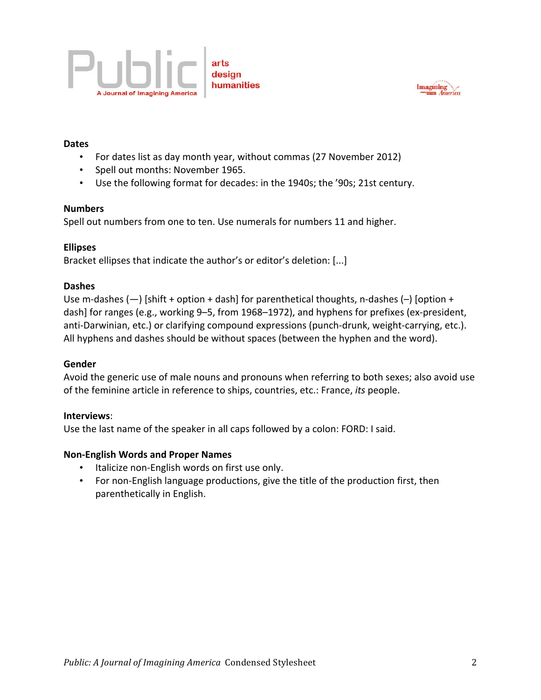



# **Dates**

- For dates list as day month year, without commas (27 November 2012)
- Spell out months: November 1965.
- Use the following format for decades: in the 1940s; the '90s; 21st century.

#### **Numbers**

Spell out numbers from one to ten. Use numerals for numbers 11 and higher.

# **Ellipses**

Bracket ellipses that indicate the author's or editor's deletion: [...]

# **Dashes**

Use m-dashes  $(-)$  [shift + option + dash] for parenthetical thoughts, n-dashes  $(-)$  [option + dash] for ranges (e.g., working 9-5, from 1968–1972), and hyphens for prefixes (ex-president, anti-Darwinian, etc.) or clarifying compound expressions (punch-drunk, weight-carrying, etc.). All hyphens and dashes should be without spaces (between the hyphen and the word).

# **Gender**

Avoid the generic use of male nouns and pronouns when referring to both sexes; also avoid use of the feminine article in reference to ships, countries, etc.: France, *its* people.

#### **Interviews**:

Use the last name of the speaker in all caps followed by a colon: FORD: I said.

# **Non-English Words and Proper Names**

- Italicize non-English words on first use only.
- For non-English language productions, give the title of the production first, then parenthetically in English.